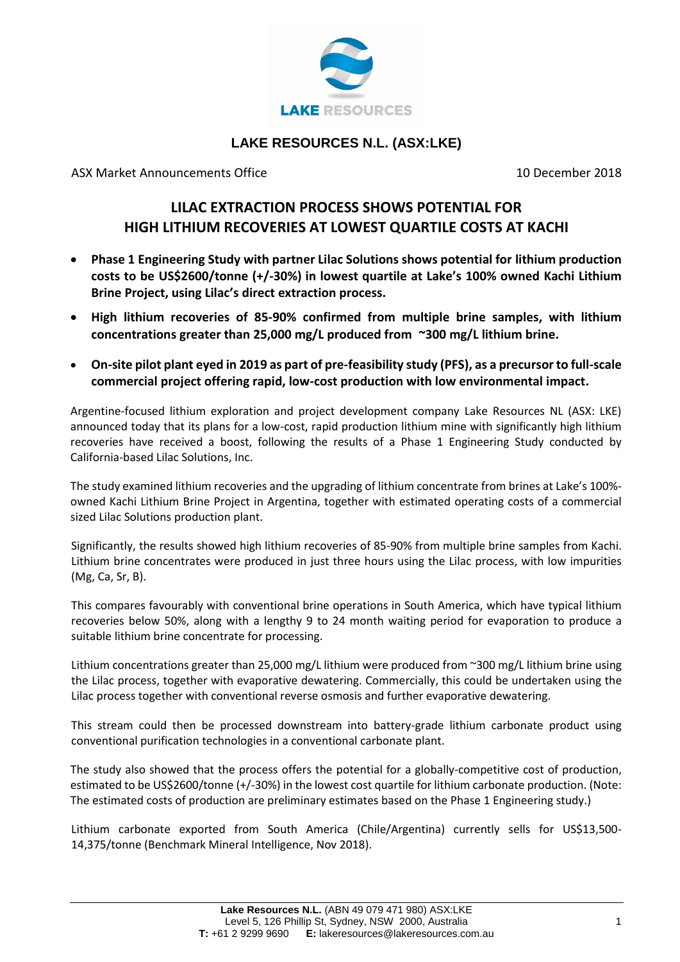

## **LAKE RESOURCES N.L. (ASX:LKE)**

ASX Market Announcements Office 10 December 2018

## **LILAC EXTRACTION PROCESS SHOWS POTENTIAL FOR HIGH LITHIUM RECOVERIES AT LOWEST QUARTILE COSTS AT KACHI**

- **Phase 1 Engineering Study with partner Lilac Solutions shows potential for lithium production costs to be US\$2600/tonne (+/-30%) in lowest quartile at Lake's 100% owned Kachi Lithium Brine Project, using Lilac's direct extraction process.**
- **High lithium recoveries of 85-90% confirmed from multiple brine samples, with lithium concentrations greater than 25,000 mg/L produced from ~300 mg/L lithium brine.**
- **On-site pilot plant eyed in 2019 as part of pre-feasibility study (PFS), as a precursor to full-scale commercial project offering rapid, low-cost production with low environmental impact.**

Argentine-focused lithium exploration and project development company Lake Resources NL (ASX: LKE) announced today that its plans for a low-cost, rapid production lithium mine with significantly high lithium recoveries have received a boost, following the results of a Phase 1 Engineering Study conducted by California-based Lilac Solutions, Inc.

The study examined lithium recoveries and the upgrading of lithium concentrate from brines at Lake's 100% owned Kachi Lithium Brine Project in Argentina, together with estimated operating costs of a commercial sized Lilac Solutions production plant.

Significantly, the results showed high lithium recoveries of 85-90% from multiple brine samples from Kachi. Lithium brine concentrates were produced in just three hours using the Lilac process, with low impurities (Mg, Ca, Sr, B).

This compares favourably with conventional brine operations in South America, which have typical lithium recoveries below 50%, along with a lengthy 9 to 24 month waiting period for evaporation to produce a suitable lithium brine concentrate for processing.

Lithium concentrations greater than 25,000 mg/L lithium were produced from ~300 mg/L lithium brine using the Lilac process, together with evaporative dewatering. Commercially, this could be undertaken using the Lilac process together with conventional reverse osmosis and further evaporative dewatering.

This stream could then be processed downstream into battery-grade lithium carbonate product using conventional purification technologies in a conventional carbonate plant.

The study also showed that the process offers the potential for a globally-competitive cost of production, estimated to be US\$2600/tonne (+/-30%) in the lowest cost quartile for lithium carbonate production. (Note: The estimated costs of production are preliminary estimates based on the Phase 1 Engineering study.)

Lithium carbonate exported from South America (Chile/Argentina) currently sells for US\$13,500- 14,375/tonne (Benchmark Mineral Intelligence, Nov 2018).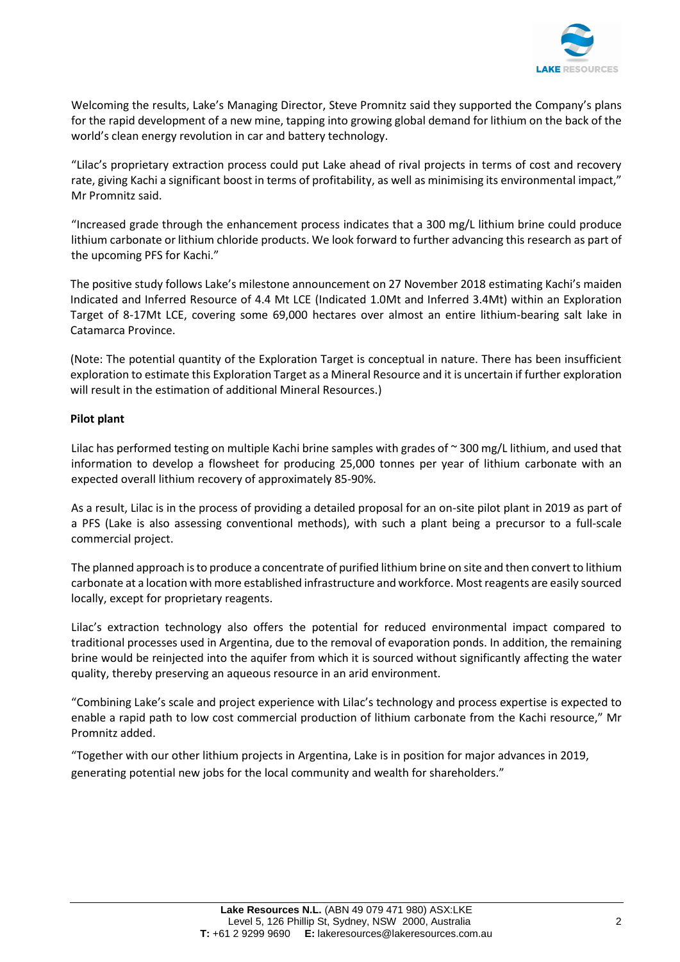

Welcoming the results, Lake's Managing Director, Steve Promnitz said they supported the Company's plans for the rapid development of a new mine, tapping into growing global demand for lithium on the back of the world's clean energy revolution in car and battery technology.

"Lilac's proprietary extraction process could put Lake ahead of rival projects in terms of cost and recovery rate, giving Kachi a significant boost in terms of profitability, as well as minimising its environmental impact," Mr Promnitz said.

"Increased grade through the enhancement process indicates that a 300 mg/L lithium brine could produce lithium carbonate or lithium chloride products. We look forward to further advancing this research as part of the upcoming PFS for Kachi."

The positive study follows Lake's milestone announcement on 27 November 2018 estimating Kachi's maiden Indicated and Inferred Resource of 4.4 Mt LCE (Indicated 1.0Mt and Inferred 3.4Mt) within an Exploration Target of 8-17Mt LCE, covering some 69,000 hectares over almost an entire lithium-bearing salt lake in Catamarca Province.

(Note: The potential quantity of the Exploration Target is conceptual in nature. There has been insufficient exploration to estimate this Exploration Target as a Mineral Resource and it is uncertain if further exploration will result in the estimation of additional Mineral Resources.)

### **Pilot plant**

Lilac has performed testing on multiple Kachi brine samples with grades of  $\sim$  300 mg/L lithium, and used that information to develop a flowsheet for producing 25,000 tonnes per year of lithium carbonate with an expected overall lithium recovery of approximately 85-90%.

As a result, Lilac is in the process of providing a detailed proposal for an on-site pilot plant in 2019 as part of a PFS (Lake is also assessing conventional methods), with such a plant being a precursor to a full-scale commercial project.

The planned approach is to produce a concentrate of purified lithium brine on site and then convert to lithium carbonate at a location with more established infrastructure and workforce. Most reagents are easily sourced locally, except for proprietary reagents.

Lilac's extraction technology also offers the potential for reduced environmental impact compared to traditional processes used in Argentina, due to the removal of evaporation ponds. In addition, the remaining brine would be reinjected into the aquifer from which it is sourced without significantly affecting the water quality, thereby preserving an aqueous resource in an arid environment.

"Combining Lake's scale and project experience with Lilac's technology and process expertise is expected to enable a rapid path to low cost commercial production of lithium carbonate from the Kachi resource," Mr Promnitz added.

"Together with our other lithium projects in Argentina, Lake is in position for major advances in 2019, generating potential new jobs for the local community and wealth for shareholders."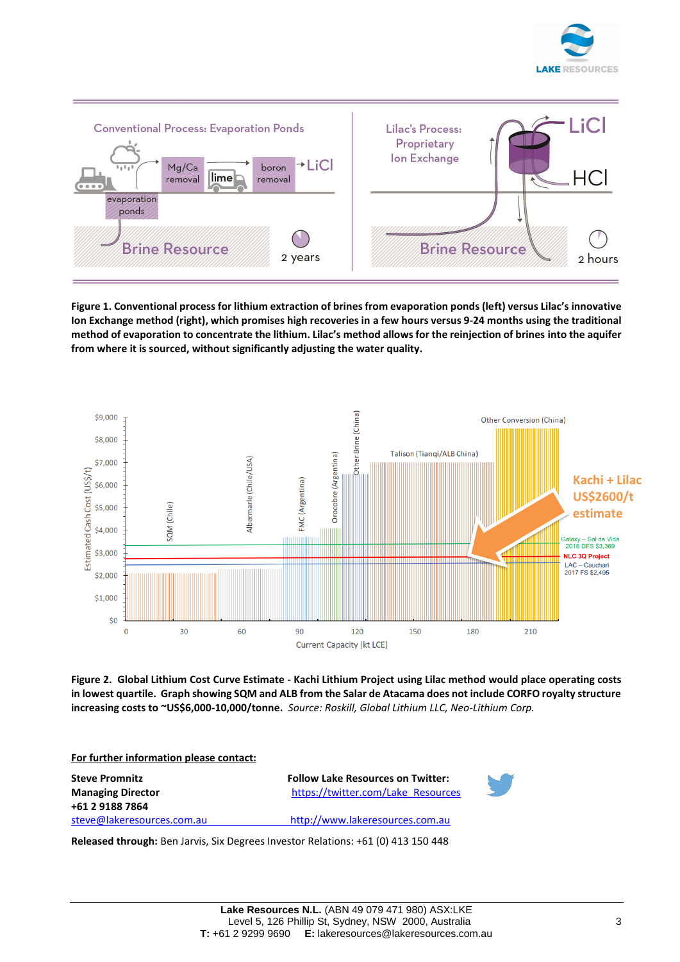



**Figure 1. Conventional process for lithium extraction of brines from evaporation ponds (left) versus Lilac's innovative Ion Exchange method (right), which promises high recoveries in a few hours versus 9-24 months using the traditional method of evaporation to concentrate the lithium. Lilac's method allows for the reinjection of brines into the aquifer from where it is sourced, without significantly adjusting the water quality.**



**Figure 2. Global Lithium Cost Curve Estimate - Kachi Lithium Project using Lilac method would place operating costs in lowest quartile. Graph showing SQM and ALB from the Salar de Atacama does not include CORFO royalty structure increasing costs to ~US\$6,000-10,000/tonne.** *Source: Roskill, Global Lithium LLC, Neo-Lithium Corp.*

**For further information please contact: Steve Promnitz Follow Lake Resources on Twitter: Managing Director [https://twitter.com/Lake\\_Resources](https://twitter.com/Lake_Resources) +61 2 9188 7864** [steve@lakeresources.com.au](mailto:steve@lakeresources.com.au) [http://www.lakeresources.com.au](http://www.lakeresources.com.au/)

**Released through:** Ben Jarvis, Six Degrees Investor Relations: +61 (0) 413 150 448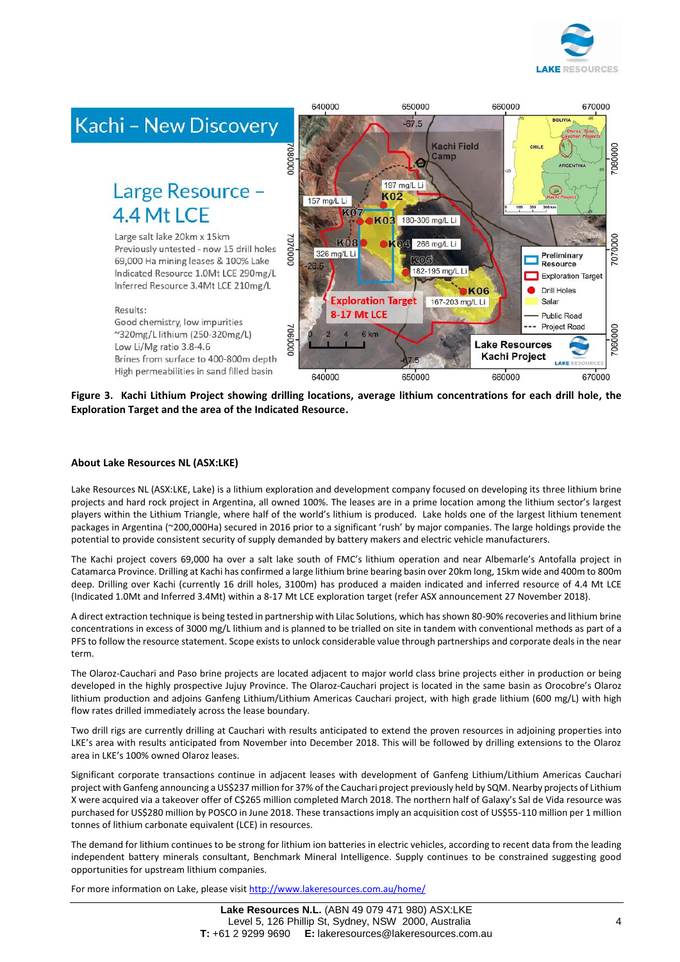

**BOLIVIA** 

670000

660000



# Large Resource -4.4 Mt LCF

Large salt lake 20km x 15km Previously untested - now 15 drill holes 69,000 Ha mining leases & 100% Lake Indicated Resource 1.0Mt LCE 290mg/L Inferred Resource 3.4Mt LCE 210mg/L

Good chemistry, low impurities

Low Li/Mg ratio 3.8-4.6

~320mg/L lithium (250-320mg/L)



650000

 $-67.5$ 

**Figure 3. Kachi Lithium Project showing drilling locations, average lithium concentrations for each drill hole, the Exploration Target and the area of the Indicated Resource.**

640000

### **About Lake Resources NL (ASX:LKE)**

Results:

Lake Resources NL (ASX:LKE, Lake) is a lithium exploration and development company focused on developing its three lithium brine projects and hard rock project in Argentina, all owned 100%. The leases are in a prime location among the lithium sector's largest players within the Lithium Triangle, where half of the world's lithium is produced. Lake holds one of the largest lithium tenement packages in Argentina (~200,000Ha) secured in 2016 prior to a significant 'rush' by major companies. The large holdings provide the potential to provide consistent security of supply demanded by battery makers and electric vehicle manufacturers.

The Kachi project covers 69,000 ha over a salt lake south of FMC's lithium operation and near Albemarle's Antofalla project in Catamarca Province. Drilling at Kachi has confirmed a large lithium brine bearing basin over 20km long, 15km wide and 400m to 800m deep. Drilling over Kachi (currently 16 drill holes, 3100m) has produced a maiden indicated and inferred resource of 4.4 Mt LCE (Indicated 1.0Mt and Inferred 3.4Mt) within a 8-17 Mt LCE exploration target (refer ASX announcement 27 November 2018).

A direct extraction technique is being tested in partnership with Lilac Solutions, which has shown 80-90% recoveries and lithium brine concentrations in excess of 3000 mg/L lithium and is planned to be trialled on site in tandem with conventional methods as part of a PFS to follow the resource statement. Scope exists to unlock considerable value through partnerships and corporate deals in the near term.

The Olaroz-Cauchari and Paso brine projects are located adjacent to major world class brine projects either in production or being developed in the highly prospective Jujuy Province. The Olaroz-Cauchari project is located in the same basin as Orocobre's Olaroz lithium production and adjoins Ganfeng Lithium/Lithium Americas Cauchari project, with high grade lithium (600 mg/L) with high flow rates drilled immediately across the lease boundary.

Two drill rigs are currently drilling at Cauchari with results anticipated to extend the proven resources in adjoining properties into LKE's area with results anticipated from November into December 2018. This will be followed by drilling extensions to the Olaroz area in LKE's 100% owned Olaroz leases.

Significant corporate transactions continue in adjacent leases with development of Ganfeng Lithium/Lithium Americas Cauchari project with Ganfeng announcing a US\$237 million for 37% of the Cauchari project previously held by SQM. Nearby projects of Lithium X were acquired via a takeover offer of C\$265 million completed March 2018. The northern half of Galaxy's Sal de Vida resource was purchased for US\$280 million by POSCO in June 2018. These transactions imply an acquisition cost of US\$55-110 million per 1 million tonnes of lithium carbonate equivalent (LCE) in resources.

The demand for lithium continues to be strong for lithium ion batteries in electric vehicles, according to recent data from the leading independent battery minerals consultant, Benchmark Mineral Intelligence. Supply continues to be constrained suggesting good opportunities for upstream lithium companies.

For more information on Lake, please visi[t http://www.lakeresources.com.au/home/](http://www.lakeresources.com.au/home/)